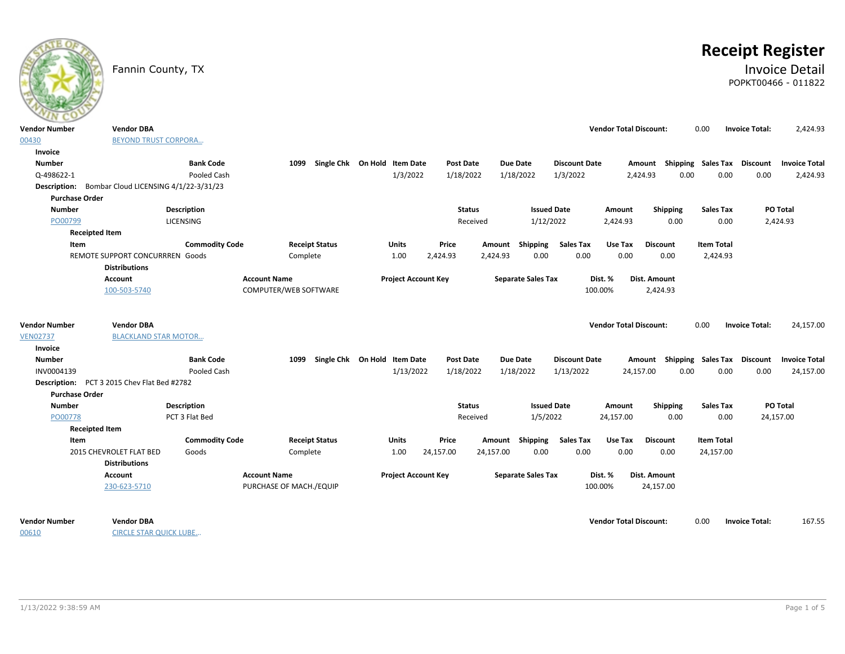# **Receipt Register**

Fannin County, TX **Invoice Detail** POPKT00466 - 011822

| <b>Vendor Number</b>  | <b>Vendor DBA</b>                                  |                       |                         |                              |                            |                  |           |                           |                      |         | <b>Vendor Total Discount:</b> |                 | 0.00              | <b>Invoice Total:</b>              | 2,424.93                                         |
|-----------------------|----------------------------------------------------|-----------------------|-------------------------|------------------------------|----------------------------|------------------|-----------|---------------------------|----------------------|---------|-------------------------------|-----------------|-------------------|------------------------------------|--------------------------------------------------|
| 00430                 | <b>BEYOND TRUST CORPORA</b>                        |                       |                         |                              |                            |                  |           |                           |                      |         |                               |                 |                   |                                    |                                                  |
| Invoice               |                                                    |                       |                         |                              |                            |                  |           |                           |                      |         |                               |                 |                   |                                    |                                                  |
| <b>Number</b>         |                                                    | <b>Bank Code</b>      | 1099                    | Single Chk On Hold Item Date |                            | <b>Post Date</b> |           | <b>Due Date</b>           | <b>Discount Date</b> |         |                               |                 |                   |                                    | Amount Shipping Sales Tax Discount Invoice Total |
| Q-498622-1            |                                                    | Pooled Cash           |                         |                              | 1/3/2022                   | 1/18/2022        |           | 1/18/2022                 | 1/3/2022             |         | 2,424.93                      | 0.00            | 0.00              | 0.00                               | 2,424.93                                         |
|                       | Description: Bombar Cloud LICENSING 4/1/22-3/31/23 |                       |                         |                              |                            |                  |           |                           |                      |         |                               |                 |                   |                                    |                                                  |
| <b>Purchase Order</b> |                                                    |                       |                         |                              |                            |                  |           |                           |                      |         |                               |                 |                   |                                    |                                                  |
| Number                |                                                    | Description           |                         |                              |                            | <b>Status</b>    |           |                           | <b>Issued Date</b>   |         | Amount                        | Shipping        | <b>Sales Tax</b>  |                                    | PO Total                                         |
| PO00799               |                                                    | LICENSING             |                         |                              |                            |                  | Received  |                           | 1/12/2022            |         | 2,424.93                      | 0.00            | 0.00              |                                    | 2,424.93                                         |
| <b>Receipted Item</b> |                                                    |                       |                         |                              |                            |                  |           |                           |                      |         |                               |                 |                   |                                    |                                                  |
| Item                  |                                                    | <b>Commodity Code</b> | <b>Receipt Status</b>   |                              | Units                      | Price            |           | Amount Shipping           | <b>Sales Tax</b>     |         | Use Tax                       | <b>Discount</b> | <b>Item Total</b> |                                    |                                                  |
|                       | REMOTE SUPPORT CONCURRREN Goods                    |                       | Complete                |                              | 1.00                       | 2,424.93         | 2,424.93  |                           | 0.00                 | 0.00    | 0.00                          | 0.00            | 2,424.93          |                                    |                                                  |
|                       | <b>Distributions</b>                               |                       |                         |                              |                            |                  |           |                           |                      |         |                               |                 |                   |                                    |                                                  |
|                       | <b>Account</b>                                     |                       | <b>Account Name</b>     |                              | <b>Project Account Key</b> |                  |           | <b>Separate Sales Tax</b> |                      | Dist. % |                               | Dist. Amount    |                   |                                    |                                                  |
|                       | 100-503-5740                                       |                       | COMPUTER/WEB SOFTWARE   |                              |                            |                  |           |                           |                      | 100.00% |                               | 2,424.93        |                   |                                    |                                                  |
|                       |                                                    |                       |                         |                              |                            |                  |           |                           |                      |         |                               |                 |                   |                                    |                                                  |
|                       |                                                    |                       |                         |                              |                            |                  |           |                           |                      |         |                               |                 |                   |                                    |                                                  |
| <b>Vendor Number</b>  | <b>Vendor DBA</b>                                  |                       |                         |                              |                            |                  |           |                           |                      |         | <b>Vendor Total Discount:</b> |                 | 0.00              | <b>Invoice Total:</b>              | 24,157.00                                        |
| <b>VEN02737</b>       | <b>BLACKLAND STAR MOTOR</b>                        |                       |                         |                              |                            |                  |           |                           |                      |         |                               |                 |                   |                                    |                                                  |
| Invoice               |                                                    |                       |                         |                              |                            |                  |           |                           |                      |         |                               |                 |                   |                                    |                                                  |
| <b>Number</b>         |                                                    | <b>Bank Code</b>      | 1099                    | Single Chk On Hold Item Date |                            | <b>Post Date</b> |           | <b>Due Date</b>           | <b>Discount Date</b> |         |                               |                 |                   | Amount Shipping Sales Tax Discount | <b>Invoice Total</b>                             |
| INV0004139            |                                                    | Pooled Cash           |                         |                              | 1/13/2022                  | 1/18/2022        |           | 1/18/2022                 | 1/13/2022            |         | 24,157.00                     | 0.00            | 0.00              | 0.00                               | 24,157.00                                        |
|                       | Description: PCT 3 2015 Chev Flat Bed #2782        |                       |                         |                              |                            |                  |           |                           |                      |         |                               |                 |                   |                                    |                                                  |
| <b>Purchase Order</b> |                                                    |                       |                         |                              |                            |                  |           |                           |                      |         |                               |                 |                   |                                    |                                                  |
| Number                |                                                    | <b>Description</b>    |                         |                              |                            | <b>Status</b>    |           |                           | <b>Issued Date</b>   |         | Amount                        | Shipping        | <b>Sales Tax</b>  |                                    | PO Total                                         |
| PO00778               |                                                    | PCT 3 Flat Bed        |                         |                              |                            |                  | Received  |                           | 1/5/2022             |         | 24,157.00                     | 0.00            | 0.00              |                                    | 24,157.00                                        |
| <b>Receipted Item</b> |                                                    |                       |                         |                              |                            |                  |           |                           |                      |         |                               |                 |                   |                                    |                                                  |
| Item                  |                                                    | <b>Commodity Code</b> | <b>Receipt Status</b>   |                              | <b>Units</b>               | Price            |           | Amount Shipping           | <b>Sales Tax</b>     |         | Use Tax                       | <b>Discount</b> | <b>Item Total</b> |                                    |                                                  |
|                       | 2015 CHEVROLET FLAT BED                            | Goods                 | Complete                |                              | 1.00                       | 24,157.00        | 24,157.00 |                           | 0.00                 | 0.00    | 0.00                          | 0.00            | 24,157.00         |                                    |                                                  |
|                       | <b>Distributions</b>                               |                       |                         |                              |                            |                  |           |                           |                      |         |                               |                 |                   |                                    |                                                  |
|                       | Account                                            |                       | <b>Account Name</b>     |                              | <b>Project Account Key</b> |                  |           | <b>Separate Sales Tax</b> |                      | Dist. % |                               | Dist. Amount    |                   |                                    |                                                  |
|                       | 230-623-5710                                       |                       | PURCHASE OF MACH./EQUIP |                              |                            |                  |           |                           |                      | 100.00% |                               | 24,157.00       |                   |                                    |                                                  |
|                       |                                                    |                       |                         |                              |                            |                  |           |                           |                      |         |                               |                 |                   |                                    |                                                  |
|                       |                                                    |                       |                         |                              |                            |                  |           |                           |                      |         |                               |                 |                   |                                    |                                                  |
| <b>Vendor Number</b>  | <b>Vendor DBA</b>                                  |                       |                         |                              |                            |                  |           |                           |                      |         | <b>Vendor Total Discount:</b> |                 | 0.00              | <b>Invoice Total:</b>              | 167.55                                           |
| 00610                 | <b>CIRCLE STAR QUICK LUBE</b>                      |                       |                         |                              |                            |                  |           |                           |                      |         |                               |                 |                   |                                    |                                                  |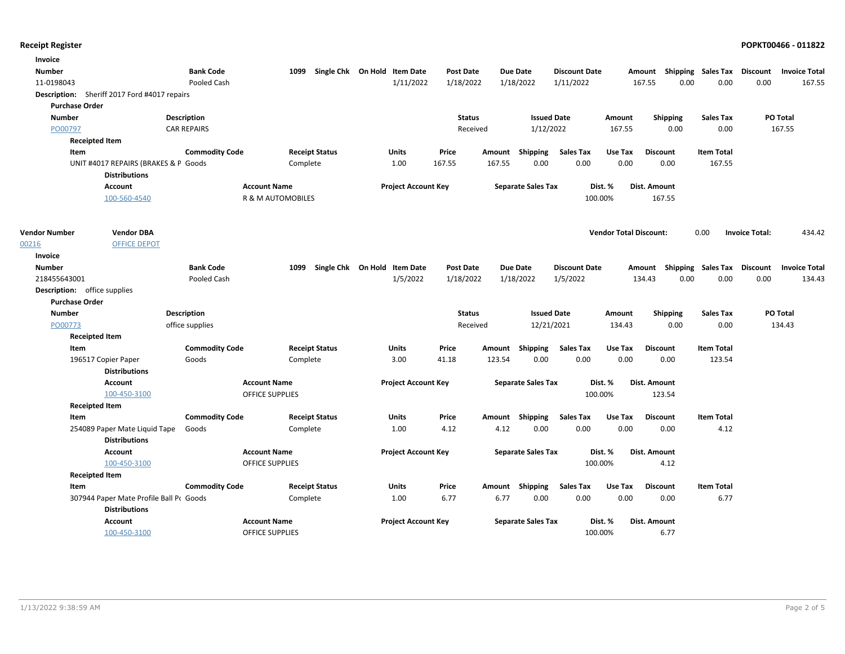| Invoice                             |                                                       |                       |                        |                              |                            |                  |        |                           |                      |                               |                 |      |                                    |                       |                      |
|-------------------------------------|-------------------------------------------------------|-----------------------|------------------------|------------------------------|----------------------------|------------------|--------|---------------------------|----------------------|-------------------------------|-----------------|------|------------------------------------|-----------------------|----------------------|
| <b>Number</b>                       |                                                       | <b>Bank Code</b>      | 1099                   | Single Chk On Hold Item Date |                            | <b>Post Date</b> |        | Due Date                  | <b>Discount Date</b> |                               |                 |      | Amount Shipping Sales Tax Discount |                       | <b>Invoice Total</b> |
| 11-0198043                          |                                                       | Pooled Cash           |                        |                              | 1/11/2022                  | 1/18/2022        |        | 1/18/2022                 | 1/11/2022            |                               | 167.55          | 0.00 | 0.00                               | 0.00                  | 167.55               |
|                                     | Description: Sheriff 2017 Ford #4017 repairs          |                       |                        |                              |                            |                  |        |                           |                      |                               |                 |      |                                    |                       |                      |
| <b>Purchase Order</b>               |                                                       |                       |                        |                              |                            |                  |        |                           |                      |                               |                 |      |                                    |                       |                      |
| <b>Number</b>                       |                                                       | <b>Description</b>    |                        |                              |                            | <b>Status</b>    |        | <b>Issued Date</b>        |                      | Amount                        | Shipping        |      | Sales Tax                          |                       | PO Total             |
| PO00797                             |                                                       | <b>CAR REPAIRS</b>    |                        |                              |                            | Received         |        | 1/12/2022                 |                      | 167.55                        |                 | 0.00 | 0.00                               |                       | 167.55               |
|                                     | <b>Receipted Item</b>                                 |                       |                        |                              |                            |                  |        |                           |                      |                               |                 |      |                                    |                       |                      |
| Item                                |                                                       | <b>Commodity Code</b> |                        | <b>Receipt Status</b>        | <b>Units</b>               | Price            |        | Amount Shipping           | <b>Sales Tax</b>     | Use Tax                       | <b>Discount</b> |      | <b>Item Total</b>                  |                       |                      |
|                                     | UNIT #4017 REPAIRS (BRAKES & P Goods                  |                       | Complete               |                              | 1.00                       | 167.55           | 167.55 | 0.00                      | 0.00                 | 0.00                          | 0.00            |      | 167.55                             |                       |                      |
|                                     | <b>Distributions</b>                                  |                       |                        |                              |                            |                  |        |                           |                      |                               |                 |      |                                    |                       |                      |
|                                     | <b>Account</b>                                        |                       | <b>Account Name</b>    |                              | <b>Project Account Key</b> |                  |        | <b>Separate Sales Tax</b> |                      | Dist. %                       | Dist. Amount    |      |                                    |                       |                      |
|                                     | 100-560-4540                                          |                       | R & M AUTOMOBILES      |                              |                            |                  |        |                           | 100.00%              |                               | 167.55          |      |                                    |                       |                      |
| <b>Vendor Number</b>                | <b>Vendor DBA</b>                                     |                       |                        |                              |                            |                  |        |                           |                      | <b>Vendor Total Discount:</b> |                 |      | 0.00                               | <b>Invoice Total:</b> | 434.42               |
| 00216                               | <b>OFFICE DEPOT</b>                                   |                       |                        |                              |                            |                  |        |                           |                      |                               |                 |      |                                    |                       |                      |
| Invoice                             |                                                       |                       |                        |                              |                            |                  |        |                           |                      |                               |                 |      |                                    |                       |                      |
| <b>Number</b>                       |                                                       | <b>Bank Code</b>      | 1099                   | Single Chk On Hold Item Date |                            | <b>Post Date</b> |        | <b>Due Date</b>           | <b>Discount Date</b> |                               |                 |      | Amount Shipping Sales Tax Discount |                       | <b>Invoice Total</b> |
| 218455643001                        |                                                       | Pooled Cash           |                        |                              | 1/5/2022                   | 1/18/2022        |        | 1/18/2022                 | 1/5/2022             |                               | 134.43          | 0.00 | 0.00                               | 0.00                  | 134.43               |
| <b>Description:</b> office supplies |                                                       |                       |                        |                              |                            |                  |        |                           |                      |                               |                 |      |                                    |                       |                      |
| <b>Purchase Order</b>               |                                                       |                       |                        |                              |                            |                  |        |                           |                      |                               |                 |      |                                    |                       |                      |
| <b>Number</b>                       |                                                       | <b>Description</b>    |                        |                              |                            | <b>Status</b>    |        | <b>Issued Date</b>        |                      | Amount                        | <b>Shipping</b> |      | <b>Sales Tax</b>                   |                       | PO Total             |
| PO00773                             |                                                       | office supplies       |                        |                              |                            | Received         |        | 12/21/2021                |                      | 134.43                        |                 | 0.00 | 0.00                               |                       | 134.43               |
|                                     | <b>Receipted Item</b>                                 |                       |                        |                              |                            |                  |        |                           |                      |                               |                 |      |                                    |                       |                      |
| Item                                |                                                       | <b>Commodity Code</b> |                        | <b>Receipt Status</b>        | Units                      | Price            |        | Amount Shipping           | <b>Sales Tax</b>     | Use Tax                       | <b>Discount</b> |      | <b>Item Total</b>                  |                       |                      |
|                                     | 196517 Copier Paper                                   | Goods                 | Complete               |                              | 3.00                       | 41.18            | 123.54 | 0.00                      | 0.00                 | 0.00                          | 0.00            |      | 123.54                             |                       |                      |
|                                     | <b>Distributions</b>                                  |                       |                        |                              |                            |                  |        |                           |                      |                               |                 |      |                                    |                       |                      |
|                                     | <b>Account</b>                                        |                       | <b>Account Name</b>    |                              | <b>Project Account Key</b> |                  |        | <b>Separate Sales Tax</b> |                      | Dist. %                       | Dist. Amount    |      |                                    |                       |                      |
|                                     | 100-450-3100                                          |                       | <b>OFFICE SUPPLIES</b> |                              |                            |                  |        |                           | 100.00%              |                               | 123.54          |      |                                    |                       |                      |
|                                     | <b>Receipted Item</b>                                 |                       |                        |                              |                            |                  |        |                           |                      |                               |                 |      |                                    |                       |                      |
| Item                                |                                                       | <b>Commodity Code</b> |                        | <b>Receipt Status</b>        | Units                      | Price            |        | Amount Shipping           | <b>Sales Tax</b>     | Use Tax                       | <b>Discount</b> |      | <b>Item Total</b>                  |                       |                      |
|                                     | 254089 Paper Mate Liquid Tape<br><b>Distributions</b> | Goods                 | Complete               |                              | 1.00                       | 4.12             | 4.12   | 0.00                      | 0.00                 | 0.00                          | 0.00            |      | 4.12                               |                       |                      |
|                                     | <b>Account</b>                                        |                       | <b>Account Name</b>    |                              | <b>Project Account Key</b> |                  |        | <b>Separate Sales Tax</b> |                      | Dist. %                       | Dist. Amount    |      |                                    |                       |                      |
|                                     | 100-450-3100                                          |                       | OFFICE SUPPLIES        |                              |                            |                  |        |                           | 100.00%              |                               | 4.12            |      |                                    |                       |                      |
|                                     | <b>Receipted Item</b>                                 |                       |                        |                              |                            |                  |        |                           |                      |                               |                 |      |                                    |                       |                      |
| Item                                |                                                       | <b>Commodity Code</b> |                        | <b>Receipt Status</b>        | Units                      | Price            |        | Amount Shipping           | <b>Sales Tax</b>     | Use Tax                       | <b>Discount</b> |      | <b>Item Total</b>                  |                       |                      |
|                                     | 307944 Paper Mate Profile Ball Pr Goods               |                       | Complete               |                              | 1.00                       | 6.77             | 6.77   | 0.00                      | 0.00                 | 0.00                          | 0.00            |      | 6.77                               |                       |                      |
|                                     | <b>Distributions</b>                                  |                       |                        |                              |                            |                  |        |                           |                      |                               |                 |      |                                    |                       |                      |
|                                     | <b>Account</b>                                        |                       | <b>Account Name</b>    |                              | <b>Project Account Key</b> |                  |        | <b>Separate Sales Tax</b> |                      | Dist. %                       | Dist. Amount    |      |                                    |                       |                      |
|                                     | 100-450-3100                                          |                       | <b>OFFICE SUPPLIES</b> |                              |                            |                  |        |                           | 100.00%              |                               | 6.77            |      |                                    |                       |                      |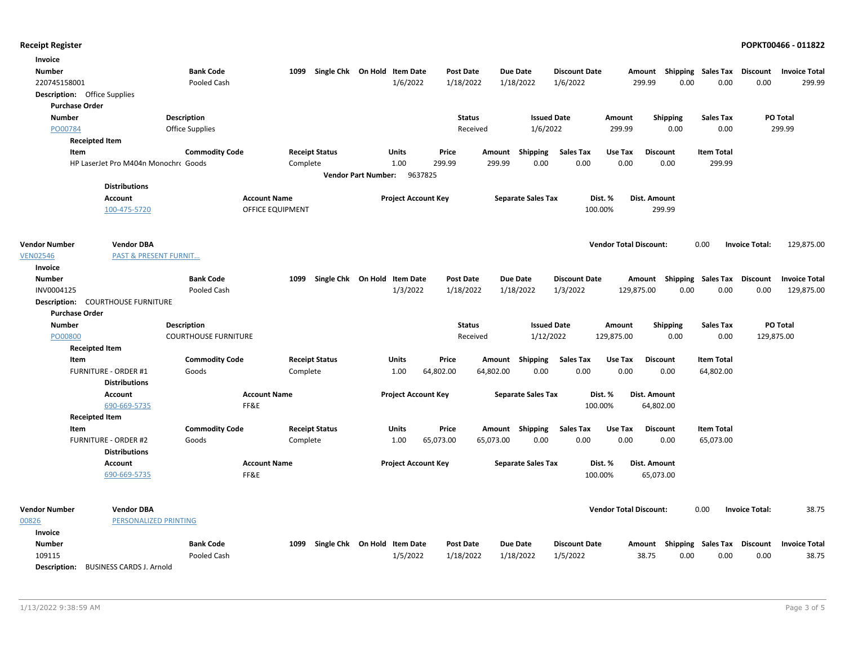| Invoice                             |                                          |                             |                         |                    |                              |                  |                 |                           |                      |                               |                 |                                     |                       |                      |
|-------------------------------------|------------------------------------------|-----------------------------|-------------------------|--------------------|------------------------------|------------------|-----------------|---------------------------|----------------------|-------------------------------|-----------------|-------------------------------------|-----------------------|----------------------|
| <b>Number</b>                       |                                          | <b>Bank Code</b>            | 1099                    | Single Chk On Hold | <b>Item Date</b>             | <b>Post Date</b> | <b>Due Date</b> |                           | <b>Discount Date</b> | Amount                        |                 | <b>Shipping Sales Tax</b>           | Discount              | <b>Invoice Total</b> |
| 220745158001                        |                                          | Pooled Cash                 |                         |                    | 1/6/2022                     | 1/18/2022        | 1/18/2022       | 1/6/2022                  |                      | 299.99                        | 0.00            | 0.00                                | 0.00                  | 299.99               |
| <b>Description:</b> Office Supplies |                                          |                             |                         |                    |                              |                  |                 |                           |                      |                               |                 |                                     |                       |                      |
| <b>Purchase Order</b>               |                                          |                             |                         |                    |                              |                  |                 |                           |                      |                               |                 |                                     |                       |                      |
| <b>Number</b>                       |                                          | Description                 |                         |                    |                              | <b>Status</b>    |                 | <b>Issued Date</b>        |                      | Amount                        | <b>Shipping</b> | <b>Sales Tax</b>                    |                       | PO Total             |
| PO00784                             |                                          | <b>Office Supplies</b>      |                         |                    |                              | Received         |                 | 1/6/2022                  |                      | 299.99                        | 0.00            | 0.00                                |                       | 299.99               |
| <b>Receipted Item</b>               |                                          |                             |                         |                    |                              |                  |                 |                           |                      |                               |                 |                                     |                       |                      |
| Item                                |                                          | <b>Commodity Code</b>       | <b>Receipt Status</b>   |                    | <b>Units</b>                 | Price            | Amount          | <b>Shipping</b>           | <b>Sales Tax</b>     | Use Tax<br><b>Discount</b>    |                 | <b>Item Total</b>                   |                       |                      |
|                                     | HP LaserJet Pro M404n Monochro Goods     |                             | Complete                |                    | 1.00                         | 299.99           | 299.99          | 0.00                      | 0.00                 | 0.00                          | 0.00            | 299.99                              |                       |                      |
|                                     |                                          |                             |                         |                    | <b>Vendor Part Number:</b>   | 9637825          |                 |                           |                      |                               |                 |                                     |                       |                      |
|                                     | <b>Distributions</b>                     |                             |                         |                    |                              |                  |                 |                           |                      |                               |                 |                                     |                       |                      |
|                                     | <b>Account</b>                           |                             | <b>Account Name</b>     |                    | <b>Project Account Key</b>   |                  |                 | <b>Separate Sales Tax</b> | Dist. %              | Dist. Amount                  |                 |                                     |                       |                      |
|                                     | 100-475-5720                             |                             | <b>OFFICE EQUIPMENT</b> |                    |                              |                  |                 |                           | 100.00%              |                               | 299.99          |                                     |                       |                      |
|                                     |                                          |                             |                         |                    |                              |                  |                 |                           |                      |                               |                 |                                     |                       |                      |
|                                     |                                          |                             |                         |                    |                              |                  |                 |                           |                      |                               |                 |                                     |                       |                      |
| <b>Vendor Number</b>                | <b>Vendor DBA</b>                        |                             |                         |                    |                              |                  |                 |                           |                      | <b>Vendor Total Discount:</b> |                 | 0.00                                | <b>Invoice Total:</b> | 129,875.00           |
| <b>VEN02546</b><br>Invoice          | <b>PAST &amp; PRESENT FURNIT</b>         |                             |                         |                    |                              |                  |                 |                           |                      |                               |                 |                                     |                       |                      |
| <b>Number</b>                       |                                          | <b>Bank Code</b>            | 1099                    | Single Chk On Hold | <b>Item Date</b>             | Post Date        | <b>Due Date</b> |                           | <b>Discount Date</b> |                               |                 |                                     |                       | <b>Invoice Total</b> |
| INV0004125                          |                                          | Pooled Cash                 |                         |                    | 1/3/2022                     | 1/18/2022        | 1/18/2022       | 1/3/2022                  |                      | Amount<br>129,875.00          | 0.00            | Shipping Sales Tax Discount<br>0.00 | 0.00                  | 129,875.00           |
|                                     | <b>Description: COURTHOUSE FURNITURE</b> |                             |                         |                    |                              |                  |                 |                           |                      |                               |                 |                                     |                       |                      |
| <b>Purchase Order</b>               |                                          |                             |                         |                    |                              |                  |                 |                           |                      |                               |                 |                                     |                       |                      |
| <b>Number</b>                       |                                          | <b>Description</b>          |                         |                    |                              | <b>Status</b>    |                 | <b>Issued Date</b>        |                      | Amount                        | <b>Shipping</b> | <b>Sales Tax</b>                    |                       | PO Total             |
| PO00800                             |                                          | <b>COURTHOUSE FURNITURE</b> |                         |                    |                              | Received         |                 | 1/12/2022                 | 129,875.00           |                               | 0.00            | 0.00                                | 129,875.00            |                      |
| <b>Receipted Item</b>               |                                          |                             |                         |                    |                              |                  |                 |                           |                      |                               |                 |                                     |                       |                      |
| Item                                |                                          | <b>Commodity Code</b>       | <b>Receipt Status</b>   |                    | Units                        | Price            | Amount          | <b>Shipping</b>           | <b>Sales Tax</b>     | Use Tax<br><b>Discount</b>    |                 | <b>Item Total</b>                   |                       |                      |
|                                     | <b>FURNITURE - ORDER #1</b>              | Goods                       | Complete                |                    | 1.00                         | 64,802.00        | 64,802.00       | 0.00                      | 0.00                 | 0.00                          | 0.00            | 64,802.00                           |                       |                      |
|                                     | <b>Distributions</b>                     |                             |                         |                    |                              |                  |                 |                           |                      |                               |                 |                                     |                       |                      |
|                                     | Account                                  |                             | <b>Account Name</b>     |                    | <b>Project Account Key</b>   |                  |                 | <b>Separate Sales Tax</b> | Dist. %              | Dist. Amount                  |                 |                                     |                       |                      |
|                                     | 690-669-5735                             |                             | FF&E                    |                    |                              |                  |                 |                           | 100.00%              | 64,802.00                     |                 |                                     |                       |                      |
| <b>Receipted Item</b>               |                                          |                             |                         |                    |                              |                  |                 |                           |                      |                               |                 |                                     |                       |                      |
| Item                                |                                          | <b>Commodity Code</b>       | <b>Receipt Status</b>   |                    | Units                        | Price            | Amount Shipping |                           | <b>Sales Tax</b>     | Use Tax<br><b>Discount</b>    |                 | <b>Item Total</b>                   |                       |                      |
|                                     | <b>FURNITURE - ORDER #2</b>              | Goods                       | Complete                |                    | 1.00                         | 65,073.00        | 65,073.00       | 0.00                      | 0.00                 | 0.00                          | 0.00            | 65,073.00                           |                       |                      |
|                                     | <b>Distributions</b>                     |                             |                         |                    |                              |                  |                 |                           |                      |                               |                 |                                     |                       |                      |
|                                     | Account                                  |                             | <b>Account Name</b>     |                    | <b>Project Account Key</b>   |                  |                 | <b>Separate Sales Tax</b> | Dist. %              | Dist. Amount                  |                 |                                     |                       |                      |
|                                     | 690-669-5735                             |                             | FF&E                    |                    |                              |                  |                 |                           | 100.00%              | 65,073.00                     |                 |                                     |                       |                      |
|                                     |                                          |                             |                         |                    |                              |                  |                 |                           |                      |                               |                 |                                     |                       |                      |
|                                     |                                          |                             |                         |                    |                              |                  |                 |                           |                      |                               |                 |                                     |                       |                      |
| <b>Vendor Number</b>                | <b>Vendor DBA</b>                        |                             |                         |                    |                              |                  |                 |                           |                      | <b>Vendor Total Discount:</b> |                 | 0.00                                | <b>Invoice Total:</b> | 38.75                |
| 00826                               | PERSONALIZED PRINTING                    |                             |                         |                    |                              |                  |                 |                           |                      |                               |                 |                                     |                       |                      |
| Invoice                             |                                          |                             |                         |                    |                              |                  |                 |                           |                      |                               |                 |                                     |                       |                      |
| <b>Number</b>                       |                                          | <b>Bank Code</b>            | 1099                    |                    | Single Chk On Hold Item Date | <b>Post Date</b> | <b>Due Date</b> |                           | <b>Discount Date</b> |                               |                 | Amount Shipping Sales Tax Discount  |                       | <b>Invoice Total</b> |
| 109115                              |                                          | Pooled Cash                 |                         |                    | 1/5/2022                     | 1/18/2022        | 1/18/2022       | 1/5/2022                  |                      | 38.75                         | 0.00            | 0.00                                | 0.00                  | 38.75                |
| <b>Description:</b>                 | <b>BUSINESS CARDS J. Arnold</b>          |                             |                         |                    |                              |                  |                 |                           |                      |                               |                 |                                     |                       |                      |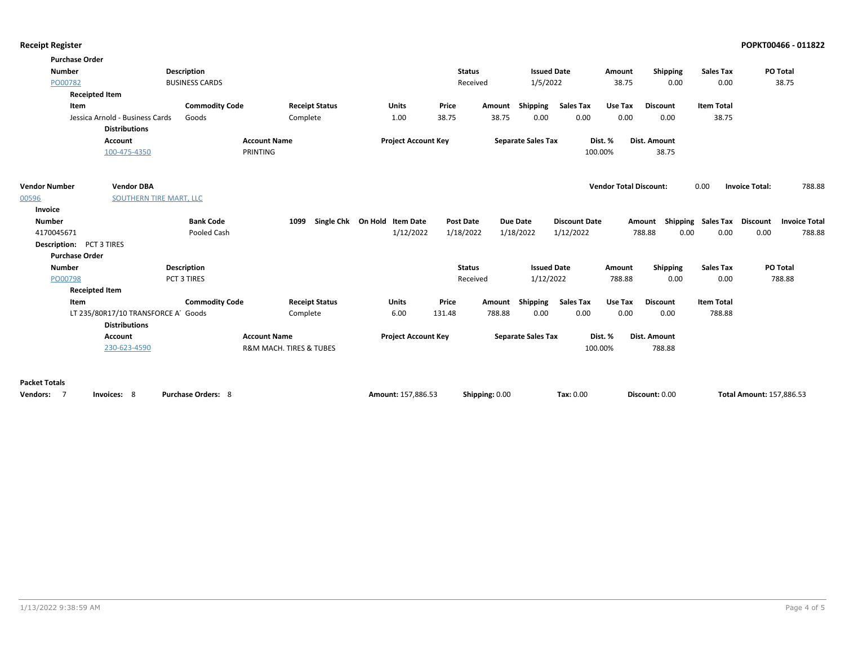| <b>Receipt Register</b> |  |
|-------------------------|--|
|-------------------------|--|

|                      | <b>Purchase Order</b>              |                           |                         |                              |                  |                |                           |                      |                               |                 |                    |                                         |  |
|----------------------|------------------------------------|---------------------------|-------------------------|------------------------------|------------------|----------------|---------------------------|----------------------|-------------------------------|-----------------|--------------------|-----------------------------------------|--|
| <b>Number</b>        |                                    | Description               |                         |                              | <b>Status</b>    |                | <b>Issued Date</b>        |                      | Amount                        | Shipping        | <b>Sales Tax</b>   | PO Total                                |  |
| PO00782              |                                    | <b>BUSINESS CARDS</b>     |                         |                              | Received         |                | 1/5/2022                  |                      | 38.75                         | 0.00            | 0.00               | 38.75                                   |  |
|                      | <b>Receipted Item</b>              |                           |                         |                              |                  |                |                           |                      |                               |                 |                    |                                         |  |
|                      | Item                               | <b>Commodity Code</b>     | <b>Receipt Status</b>   | Units                        | Price            | Amount         | <b>Shipping</b>           | <b>Sales Tax</b>     | Use Tax                       | <b>Discount</b> | <b>Item Total</b>  |                                         |  |
|                      | Jessica Arnold - Business Cards    | Goods                     | Complete                | 1.00                         | 38.75            | 38.75          | 0.00                      | 0.00                 | 0.00                          | 0.00            | 38.75              |                                         |  |
|                      | <b>Distributions</b>               |                           |                         |                              |                  |                |                           |                      |                               |                 |                    |                                         |  |
|                      | <b>Account</b>                     | <b>Account Name</b>       |                         | <b>Project Account Key</b>   |                  |                | <b>Separate Sales Tax</b> |                      | Dist. %                       | Dist. Amount    |                    |                                         |  |
|                      | 100-475-4350                       | PRINTING                  |                         |                              |                  |                |                           |                      | 100.00%                       | 38.75           |                    |                                         |  |
|                      |                                    |                           |                         |                              |                  |                |                           |                      |                               |                 |                    |                                         |  |
| <b>Vendor Number</b> | <b>Vendor DBA</b>                  |                           |                         |                              |                  |                |                           |                      | <b>Vendor Total Discount:</b> |                 | 0.00               | <b>Invoice Total:</b><br>788.88         |  |
| 00596                | SOUTHERN TIRE MART, LLC            |                           |                         |                              |                  |                |                           |                      |                               |                 |                    |                                         |  |
| Invoice              |                                    |                           |                         |                              |                  |                |                           |                      |                               |                 |                    |                                         |  |
| <b>Number</b>        |                                    | <b>Bank Code</b>          | 1099                    | Single Chk On Hold Item Date | <b>Post Date</b> |                | <b>Due Date</b>           | <b>Discount Date</b> |                               | Amount          | Shipping Sales Tax | <b>Discount</b><br><b>Invoice Total</b> |  |
| 4170045671           |                                    | Pooled Cash               |                         | 1/12/2022                    | 1/18/2022        |                | 1/18/2022                 | 1/12/2022            |                               | 788.88<br>0.00  | 0.00               | 0.00<br>788.88                          |  |
|                      | <b>Description:</b> PCT 3 TIRES    |                           |                         |                              |                  |                |                           |                      |                               |                 |                    |                                         |  |
|                      | <b>Purchase Order</b>              |                           |                         |                              |                  |                |                           |                      |                               |                 |                    |                                         |  |
| Number               |                                    | <b>Description</b>        |                         |                              | <b>Status</b>    |                | <b>Issued Date</b>        |                      | Amount                        | Shipping        | <b>Sales Tax</b>   | <b>PO Total</b>                         |  |
| PO00798              |                                    | PCT 3 TIRES               |                         |                              | Received         |                | 1/12/2022                 |                      | 788.88                        | 0.00            | 0.00               | 788.88                                  |  |
|                      | <b>Receipted Item</b>              |                           |                         |                              |                  |                |                           |                      |                               |                 |                    |                                         |  |
|                      | Item                               | <b>Commodity Code</b>     | <b>Receipt Status</b>   | Units                        | Price            | Amount         | <b>Shipping</b>           | <b>Sales Tax</b>     | Use Tax                       | <b>Discount</b> | <b>Item Total</b>  |                                         |  |
|                      | LT 235/80R17/10 TRANSFORCE A Goods |                           | Complete                | 6.00                         | 131.48           | 788.88         | 0.00                      | 0.00                 | 0.00                          | 0.00            | 788.88             |                                         |  |
|                      | <b>Distributions</b>               |                           |                         |                              |                  |                |                           |                      |                               |                 |                    |                                         |  |
|                      | <b>Account</b>                     | <b>Account Name</b>       |                         | <b>Project Account Key</b>   |                  |                | <b>Separate Sales Tax</b> |                      | Dist. %                       | Dist. Amount    |                    |                                         |  |
|                      | 230-623-4590                       |                           | R&M MACH. TIRES & TUBES |                              |                  |                |                           | 100.00%              |                               | 788.88          |                    |                                         |  |
|                      |                                    |                           |                         |                              |                  |                |                           |                      |                               |                 |                    |                                         |  |
| <b>Packet Totals</b> |                                    |                           |                         |                              |                  |                |                           |                      |                               |                 |                    |                                         |  |
| Vendors: 7           | Invoices: 8                        | <b>Purchase Orders: 8</b> |                         | Amount: 157,886.53           |                  | Shipping: 0.00 |                           | Tax: 0.00            |                               | Discount: 0.00  |                    | Total Amount: 157,886.53                |  |